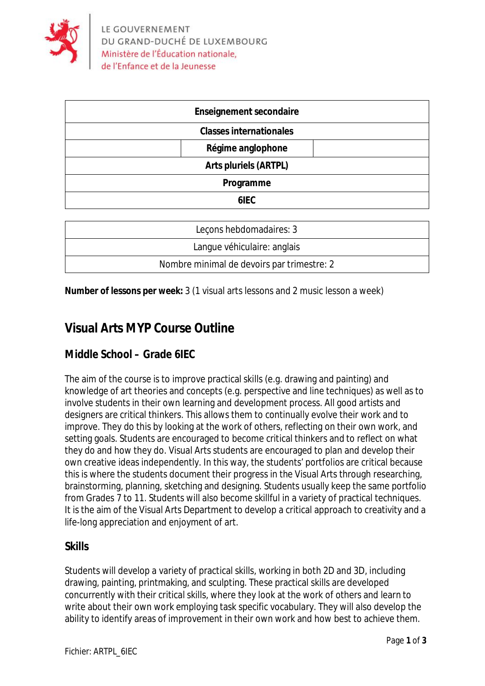

| <b>Enseignement secondaire</b> |
|--------------------------------|
| <b>Classes internationales</b> |
| Régime anglophone              |
| <b>Arts pluriels (ARTPL)</b>   |
| Programme                      |
| 6IEC                           |
|                                |

| Lecons hebdomadaires: 3                    |
|--------------------------------------------|
| Langue véhiculaire: anglais                |
| Nombre minimal de devoirs par trimestre: 2 |

**Number of lessons per week:** 3 (1 visual arts lessons and 2 music lesson a week)

## **Visual Arts MYP Course Outline**

## **Middle School – Grade 6IEC**

The aim of the course is to improve practical skills (e.g. drawing and painting) and knowledge of art theories and concepts (e.g. perspective and line techniques) as well as to involve students in their own learning and development process. All good artists and designers are critical thinkers. This allows them to continually evolve their work and to improve. They do this by looking at the work of others, reflecting on their own work, and setting goals. Students are encouraged to become critical thinkers and to reflect on what they do and how they do. Visual Arts students are encouraged to plan and develop their own creative ideas independently. In this way, the students' portfolios are critical because this is where the students document their progress in the Visual Arts through researching, brainstorming, planning, sketching and designing. Students usually keep the same portfolio from Grades 7 to 11. Students will also become skillful in a variety of practical techniques. It is the aim of the Visual Arts Department to develop a critical approach to creativity and a life-long appreciation and enjoyment of art.

### **Skills**

Students will develop a variety of practical skills, working in both 2D and 3D, including drawing, painting, printmaking, and sculpting. These practical skills are developed concurrently with their critical skills, where they look at the work of others and learn to write about their own work employing task specific vocabulary. They will also develop the ability to identify areas of improvement in their own work and how best to achieve them.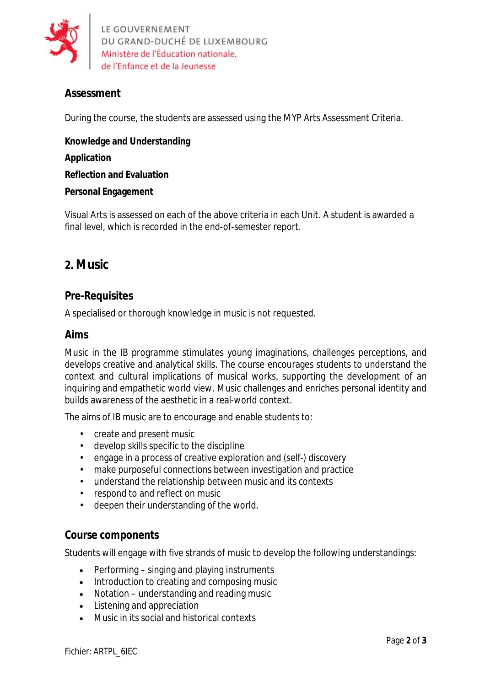

LE GOUVERNEMENT DU GRAND-DUCHÉ DE LUXEMBOURG Ministère de l'Éducation nationale. de l'Enfance et de la Jeunesse

## **Assessment**

During the course, the students are assessed using the MYP Arts Assessment Criteria.

**Knowledge and Understanding Application Reflection and Evaluation Personal Engagement**

Visual Arts is assessed on each of the above criteria in each Unit. A student is awarded a final level, which is recorded in the end-of-semester report.

# **2. Music**

### **Pre-Requisites**

A specialised or thorough knowledge in music is not requested.

#### **Aims**

Music in the IB programme stimulates young imaginations, challenges perceptions, and develops creative and analytical skills. The course encourages students to understand the context and cultural implications of musical works, supporting the development of an inquiring and empathetic world view. Music challenges and enriches personal identity and builds awareness of the aesthetic in a real-world context.

The aims of IB music are to encourage and enable students to:

- create and present music
- develop skills specific to the discipline
- engage in a process of creative exploration and (self-) discovery
- make purposeful connections between investigation and practice
- understand the relationship between music and its contexts
- respond to and reflect on music
- deepen their understanding of the world.

#### **Course components**

Students will engage with five strands of music to develop the following understandings:

- Performing singing and playing instruments
- Introduction to creating and composing music
- Notation understanding and reading music
- Listening and appreciation
- Music in its social and historical contexts